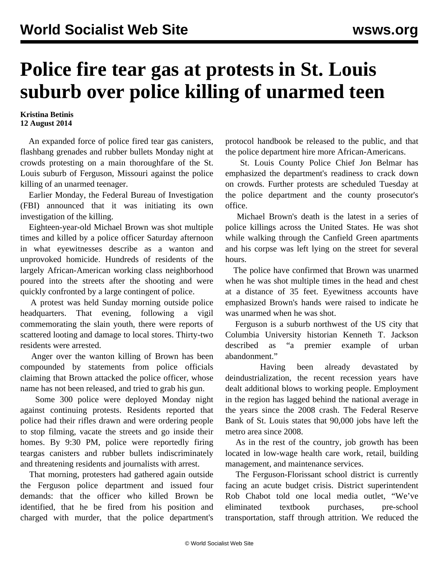## **Police fire tear gas at protests in St. Louis suburb over police killing of unarmed teen**

## **Kristina Betinis 12 August 2014**

 An expanded force of police fired tear gas canisters, flashbang grenades and rubber bullets Monday night at crowds protesting on a main thoroughfare of the St. Louis suburb of Ferguson, Missouri against the police killing of an unarmed teenager.

 Earlier Monday, the Federal Bureau of Investigation (FBI) announced that it was initiating its own investigation of the killing.

 Eighteen-year-old Michael Brown was shot multiple times and killed by a police officer Saturday afternoon in what eyewitnesses describe as a wanton and unprovoked homicide. Hundreds of residents of the largely African-American working class neighborhood poured into the streets after the shooting and were quickly confronted by a large contingent of police.

 A protest was held Sunday morning outside police headquarters. That evening, following a vigil commemorating the slain youth, there were reports of scattered looting and damage to local stores. Thirty-two residents were arrested.

 Anger over the wanton killing of Brown has been compounded by statements from police officials claiming that Brown attacked the police officer, whose name has not been released, and tried to grab his gun.

 Some 300 police were deployed Monday night against continuing protests. Residents reported that police had their rifles drawn and were ordering people to stop filming, vacate the streets and go inside their homes. By 9:30 PM, police were reportedly firing teargas canisters and rubber bullets indiscriminately and threatening residents and journalists with arrest.

 That morning, protesters had gathered again outside the Ferguson police department and issued four demands: that the officer who killed Brown be identified, that he be fired from his position and charged with murder, that the police department's

protocol handbook be released to the public, and that the police department hire more African-Americans.

 St. Louis County Police Chief Jon Belmar has emphasized the department's readiness to crack down on crowds. Further protests are scheduled Tuesday at the police department and the county prosecutor's office.

 Michael Brown's death is the latest in a series of police killings across the United States. He was shot while walking through the Canfield Green apartments and his corpse was left lying on the street for several hours.

 The police have confirmed that Brown was unarmed when he was shot multiple times in the head and chest at a distance of 35 feet. Eyewitness accounts have emphasized Brown's hands were raised to indicate he was unarmed when he was shot.

 Ferguson is a suburb northwest of the US city that Columbia University historian Kenneth T. Jackson described as "a premier example of urban abandonment."

 Having been already devastated by deindustrialization, the recent recession years have dealt additional blows to working people. Employment in the region has lagged behind the national average in the years since the 2008 crash. The Federal Reserve Bank of St. Louis states that 90,000 jobs have left the metro area since 2008.

 As in the rest of the country, job growth has been located in low-wage health care work, retail, building management, and maintenance services.

 The Ferguson-Florissant school district is currently facing an acute budget crisis. District superintendent Rob Chabot told one local media outlet, "We've eliminated textbook purchases, pre-school transportation, staff through attrition. We reduced the